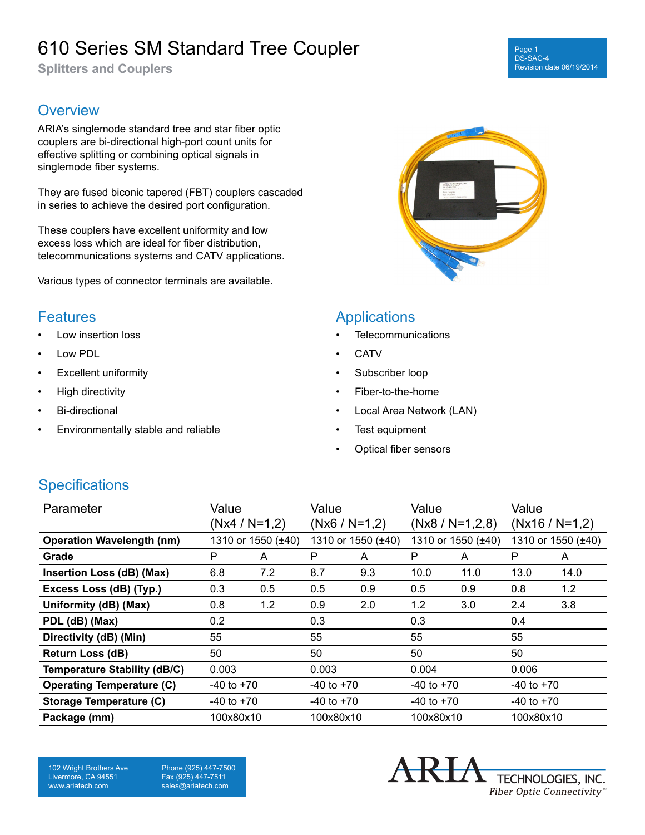# 610 Series SM Standard Tree Coupler

**Splitters and Couplers**

#### Page 1 DS-SAC-4 Revision date 06/19/2014

### **Overview**

ARIA's singlemode standard tree and star fiber optic couplers are bi-directional high-port count units for effective splitting or combining optical signals in singlemode fiber systems.

They are fused biconic tapered (FBT) couplers cascaded in series to achieve the desired port configuration.

These couplers have excellent uniformity and low excess loss which are ideal for fiber distribution, telecommunications systems and CATV applications.

Various types of connector terminals are available.

#### **Features**

- Low insertion loss
- Low PDL
- Excellent uniformity
- High directivity
- Bi-directional
- Environmentally stable and reliable



#### **Applications**

- **Telecommunications**
- **CATV**
- Subscriber loop
- Fiber-to-the-home
- Local Area Network (LAN)
- Test equipment
- Optical fiber sensors

### **Specifications**

| Parameter                           | Value              |     | Value              |     | Value              |      | Value              |      |
|-------------------------------------|--------------------|-----|--------------------|-----|--------------------|------|--------------------|------|
|                                     | $(Nx4 / N=1,2)$    |     | $(Nx6 / N=1,2)$    |     | $(Nx8 / N=1,2,8)$  |      | $(Nx16 / N=1,2)$   |      |
| <b>Operation Wavelength (nm)</b>    | 1310 or 1550 (±40) |     | 1310 or 1550 (±40) |     | 1310 or 1550 (±40) |      | 1310 or 1550 (±40) |      |
| Grade                               | P                  | A   | P                  | A   | P                  | A    | P                  | A    |
| Insertion Loss (dB) (Max)           | 6.8                | 7.2 | 8.7                | 9.3 | 10.0               | 11.0 | 13.0               | 14.0 |
| Excess Loss (dB) (Typ.)             | 0.3                | 0.5 | 0.5                | 0.9 | 0.5                | 0.9  | 0.8                | 1.2  |
| Uniformity (dB) (Max)               | 0.8                | 1.2 | 0.9                | 2.0 | 1.2                | 3.0  | 2.4                | 3.8  |
| PDL (dB) (Max)                      | 0.2                |     | 0.3                |     | 0.3                |      | 0.4                |      |
| Directivity (dB) (Min)              | 55                 |     | 55                 |     | 55                 |      | 55                 |      |
| Return Loss (dB)                    | 50                 |     | 50                 |     | 50                 |      | 50                 |      |
| <b>Temperature Stability (dB/C)</b> | 0.003              |     | 0.003              |     | 0.004              |      | 0.006              |      |
| <b>Operating Temperature (C)</b>    | $-40$ to $+70$     |     | $-40$ to $+70$     |     | $-40$ to $+70$     |      | $-40$ to $+70$     |      |
| Storage Temperature (C)             | $-40$ to $+70$     |     | $-40$ to $+70$     |     | $-40$ to $+70$     |      | $-40$ to $+70$     |      |
| Package (mm)                        | 100x80x10          |     | 100x80x10          |     | 100x80x10          |      | 100x80x10          |      |

102 Wright Brothers Ave Livermore, CA 94551 www.ariatech.com

Phone (925) 447-7500 Fax (925) 447-7511 sales@ariatech.com

TECHNOLOGIES, INC. Fiber Optic Connectivity®